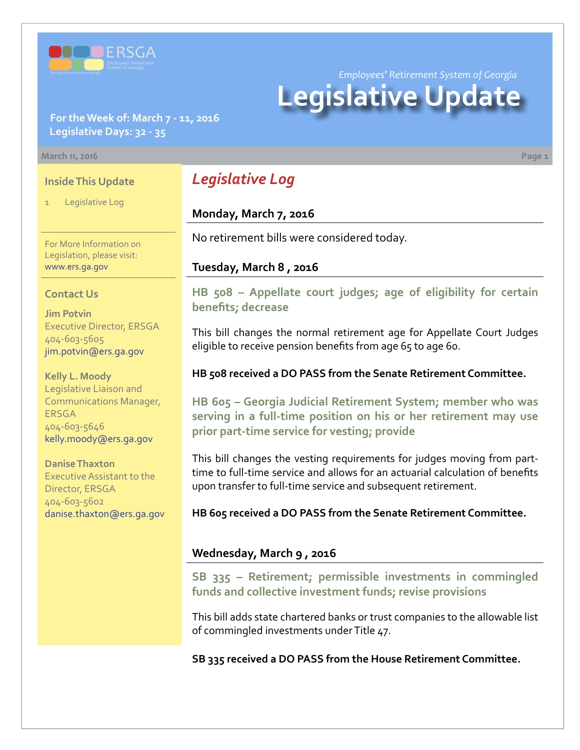

**For the Week of: March 7 - 11, 2016 Legislative Days: 32 - 35**

#### **March 11, 2016 Page 1**

#### **Inside This Update**

Legislative Log

# For More Information on Legislation, please visit:

#### **Contact Us**

[www.ers.ga.gov](http://www.ers.ga.gov/default.aspx)

**Jim Potvin** Executive Director, ERSGA 404-603-5605 jim.potvin@ers.ga.gov

**Kelly L. Moody** Legislative Liaison and Communications Manager, ERSGA 404-603-5646 kelly.moody@ers.ga.gov

**Danise Thaxton** Executive Assistant to the Director, ERSGA 404-603-5602 danise.thaxton@ers.ga.gov

# *Legislative Log*

# **Monday, March 7, 2016**

No retirement bills were considered today.

#### **Tuesday, March 8 , 2016**

**HB [508 –](http://www.legis.ga.gov/legislation/en-US/Display/20152016/HB/508) Appellate court judges; age of eligibility for certain benefits; decrease**

*Employees' Retirement System of Georgia*

**Legislative Update**

This bill changes the normal retirement age for Appellate Court Judges eligible to receive pension benefits from age 65 to age 60.

#### **HB 508 received a DO PASS from the Senate Retirement Committee.**

**HB [605 –](http://www.legis.ga.gov/legislation/en-US/Display/20152016/HB/605) Georgia Judicial Retirement System; member who was serving in a full-time position on his or her retirement may use prior part-time service for vesting; provide**

This bill changes the vesting requirements for judges moving from parttime to full-time service and allows for an actuarial calculation of benefits upon transfer to full-time service and subsequent retirement.

**HB 605 received a DO PASS from the Senate Retirement Committee.**

#### **Wednesday, March 9 , 2016**

**S[B 335 –](http://www.legis.ga.gov/legislation/en-US/Display/20152016/SB/335) Retirement; permissible investments in commingled funds and collective investment funds; revise provisions**

This bill adds state chartered banks or trust companies to the allowable list of commingled investments under Title 47.

**SB 335 received a DO PASS from the House Retirement Committee.**